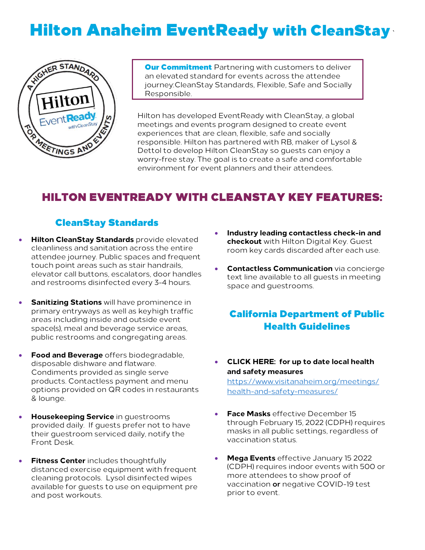# Hilton Anaheim EventReady with CleanStay`



**Our Commitment** Partnering with customers to deliver an elevated standard for events across the attendee journey:CleanStay Standards, Flexible, Safe and Socially Responsible.

Hilton has developed EventReady with CleanStay, a global meetings and events program designed to create event experiences that are clean, flexible, safe and socially responsible. Hilton has partnered with RB, maker of Lysol & Dettol to develop Hilton CleanStay so guests can enjoy a worry-free stay. The goal is to create a safe and comfortable environment for event planners and their attendees.

### HILTON EVENTREADY WITH CLEANSTAY KEY FEATURES:

#### CleanStay Standards

- **Hilton CleanStay Standards** provide elevated cleanliness and sanitation across the entire attendee journey. Public spaces and frequent touch point areas such as stair handrails, elevator call buttons, escalators, door handles and restrooms disinfected every 3-4 hours.
- **Sanitizing Stations** will have prominence in primary entryways as well as keyhigh traffic areas including inside and outside event space(s), meal and beverage service areas, public restrooms and congregating areas.
- **Food and Beverage** offers biodegradable, disposable dishware and flatware. Condiments provided as single serve products. Contactless payment and menu options provided on QR codes in restaurants & lounge.
- **Housekeeping Service** in guestrooms provided daily. If guests prefer not to have their guestroom serviced daily, notify the Front Desk.
- **Fitness Center** includes thoughtfully distanced exercise equipment with frequent cleaning protocols. Lysol disinfected wipes available for guests to use on equipment pre and post workouts.
- **Industry leading contactless check-in and checkout** with Hilton Digital Key. Guest room key cards discarded after each use.
- **Contactless Communication** via concierge text line available to all guests in meeting space and guestrooms.

#### California Department of Public Health Guidelines

 **CLICK HERE: for up to date local health and safety measures** 

[https://www.visitanaheim.org/meetings/](https://nam02.safelinks.protection.outlook.com/?url=https%3A%2F%2Fwww.visitanaheim.org%2Fmeetings%2Fhealth-and-safety-measures%2F&data=04%7C01%7CErin.Hill%40hilton.com%7C0f9ed5b976194da97abf08d9c4b9763d%7C660292d2cfd54a3db7a7e8f7ee458a0a%7C0%7C0%7C637757123090131388%7CUnknown%7CTWFpbGZsb3d8eyJWIjoiMC4wLjAwMDAiLCJQIjoiV2luMzIiLCJBTiI6Ik1haWwiLCJXVCI6Mn0%3D%7C3000&sdata=gS3I5akqCBirZxuGTx74BIX%2BmoQI4ZiNvCY%2B29YoYac%3D&reserved=0) [health-and-safety-measures/](https://nam02.safelinks.protection.outlook.com/?url=https%3A%2F%2Fwww.visitanaheim.org%2Fmeetings%2Fhealth-and-safety-measures%2F&data=04%7C01%7CErin.Hill%40hilton.com%7C0f9ed5b976194da97abf08d9c4b9763d%7C660292d2cfd54a3db7a7e8f7ee458a0a%7C0%7C0%7C637757123090131388%7CUnknown%7CTWFpbGZsb3d8eyJWIjoiMC4wLjAwMDAiLCJQIjoiV2luMzIiLCJBTiI6Ik1haWwiLCJXVCI6Mn0%3D%7C3000&sdata=gS3I5akqCBirZxuGTx74BIX%2BmoQI4ZiNvCY%2B29YoYac%3D&reserved=0)

- **Face Masks** effective December 15 through February 15, 2022 (CDPH) requires masks in all public settings, regardless of vaccination status.
- **Mega Events** effective January 15 2022 (CDPH) requires indoor events with 500 or more attendees to show proof of vaccination **or** negative COVID-19 test prior to event.